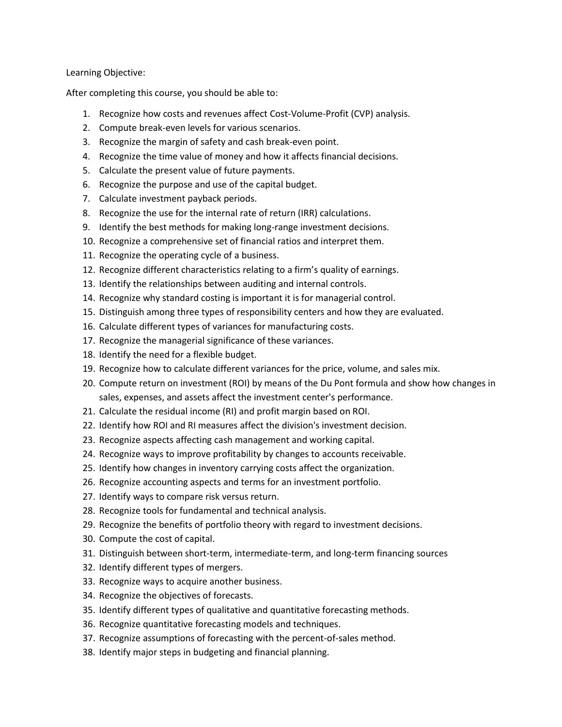Learning Objective:

After completing this course, you should be able to:

- 1. Recognize how costs and revenues affect Cost-Volume-Profit (CVP) analysis.
- 2. Compute break-even levels for various scenarios.
- 3. Recognize the margin of safety and cash break-even point.
- 4. Recognize the time value of money and how it affects financial decisions.
- 5. Calculate the present value of future payments.
- 6. Recognize the purpose and use of the capital budget.
- 7. Calculate investment payback periods.
- 8. Recognize the use for the internal rate of return (IRR) calculations.
- 9. Identify the best methods for making long-range investment decisions.
- 10. Recognize a comprehensive set of financial ratios and interpret them.
- 11. Recognize the operating cycle of a business.
- 12. Recognize different characteristics relating to a firm's quality of earnings.
- 13. Identify the relationships between auditing and internal controls.
- 14. Recognize why standard costing is important it is for managerial control.
- 15. Distinguish among three types of responsibility centers and how they are evaluated.
- 16. Calculate different types of variances for manufacturing costs.
- 17. Recognize the managerial significance of these variances.
- 18. Identify the need for a flexible budget.
- 19. Recognize how to calculate different variances for the price, volume, and sales mix.
- 20. Compute return on investment (ROI) by means of the Du Pont formula and show how changes in sales, expenses, and assets affect the investment center's performance.
- 21. Calculate the residual income (RI) and profit margin based on ROI.
- 22. Identify how ROI and RI measures affect the division's investment decision.
- 23. Recognize aspects affecting cash management and working capital.
- 24. Recognize ways to improve profitability by changes to accounts receivable.
- 25. Identify how changes in inventory carrying costs affect the organization.
- 26. Recognize accounting aspects and terms for an investment portfolio.
- 27. Identify ways to compare risk versus return.
- 28. Recognize tools for fundamental and technical analysis.
- 29. Recognize the benefits of portfolio theory with regard to investment decisions.
- 30. Compute the cost of capital.
- 31. Distinguish between short-term, intermediate-term, and long-term financing sources
- 32. Identify different types of mergers.
- 33. Recognize ways to acquire another business.
- 34. Recognize the objectives of forecasts.
- 35. Identify different types of qualitative and quantitative forecasting methods.
- 36. Recognize quantitative forecasting models and techniques.
- 37. Recognize assumptions of forecasting with the percent-of-sales method.
- 38. Identify major steps in budgeting and financial planning.